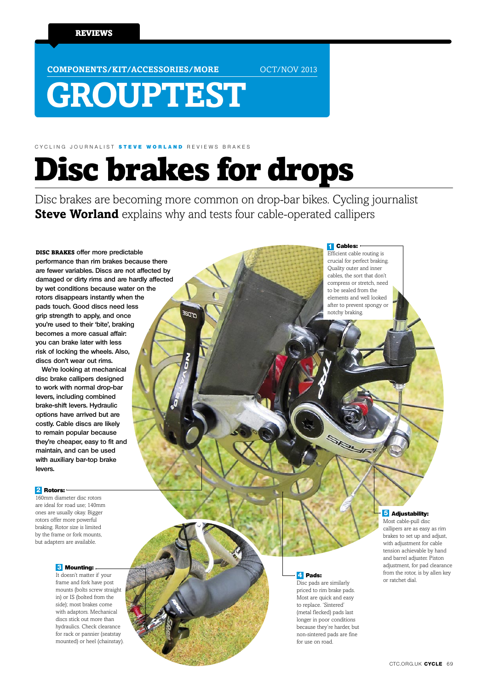**COMPONENTS/KIT/ACCESSORIES/MORE OCT/NOV 2013** 

# **GROUPTEST**

CYCLING JOURNALIST STEVE WORLAND REVIEWS BRAKES

# Disc brakes for drops

Disc brakes are becoming more common on drop-bar bikes. Cycling journalist **Steve Worland** explains why and tests four cable-operated callipers

disc brakes **offer more predictable performance than rim brakes because there are fewer variables. Discs are not affected by damaged or dirty rims and are hardly affected by wet conditions because water on the rotors disappears instantly when the pads touch. Good discs need less grip strength to apply, and once you're used to their 'bite', braking becomes a more casual affair: you can brake later with less risk of locking the wheels. Also, discs don't wear out rims.**

**We're looking at mechanical disc brake callipers designed to work with normal drop-bar levers, including combined brake-shift levers. Hydraulic options have arrived but are costly. Cable discs are likely to remain popular because they're cheaper, easy to fit and maintain, and can be used with auxiliary bar-top brake levers.** 

#### Rotors: **2**

160mm diameter disc rotors are ideal for road use; 140mm ones are usually okay. Bigger rotors offer more powerful braking. Rotor size is limited by the frame or fork mounts, but adapters are available.

### **3** Mounting:

It doesn't matter if your frame and fork have post mounts (bolts screw straight in) or IS (bolted from the side); most brakes come with adaptors. Mechanical discs stick out more than hydraulics. Check clearance for rack or pannier (seatstay mounted) or heel (chainstay).

#### **1** Cables: Efficient cable routing is

SPE

crucial for perfect braking. Quality outer and inner cables, the sort that don't compress or stretch, need to be sealed from the elements and well looked after to prevent spongy or notchy braking.

## **4** Pads:

Disc pads are similarly priced to rim brake pads. Most are quick and easy to replace. 'Sintered' (metal flecked) pads last longer in poor conditions because they're harder, but non-sintered pads are fine for use on road.

### **5** Adjustability:

Most cable-pull disc callipers are as easy as rim brakes to set up and adjust, with adjustment for cable tension achievable by hand and barrel adjuster. Piston adjustment, for pad clearance from the rotor, is by allen key or ratchet dial.